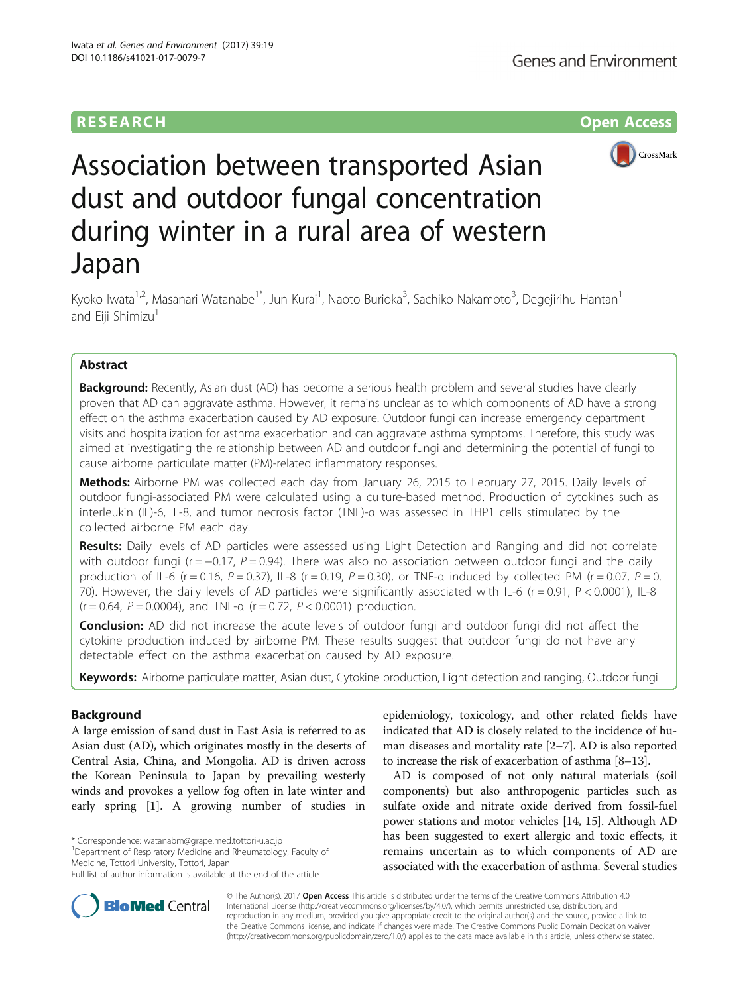## **RESEARCH RESEARCH** *CHECK <b>CHECK*



# Association between transported Asian dust and outdoor fungal concentration during winter in a rural area of western Japan

Kyoko Iwata<sup>1,2</sup>, Masanari Watanabe<sup>1\*</sup>, Jun Kurai<sup>1</sup>, Naoto Burioka<sup>3</sup>, Sachiko Nakamoto<sup>3</sup>, Degejirihu Hantan<sup>1</sup> and Eiji Shimizu<sup>1</sup>

## Abstract

**Background:** Recently, Asian dust (AD) has become a serious health problem and several studies have clearly proven that AD can aggravate asthma. However, it remains unclear as to which components of AD have a strong effect on the asthma exacerbation caused by AD exposure. Outdoor fungi can increase emergency department visits and hospitalization for asthma exacerbation and can aggravate asthma symptoms. Therefore, this study was aimed at investigating the relationship between AD and outdoor fungi and determining the potential of fungi to cause airborne particulate matter (PM)-related inflammatory responses.

Methods: Airborne PM was collected each day from January 26, 2015 to February 27, 2015. Daily levels of outdoor fungi-associated PM were calculated using a culture-based method. Production of cytokines such as interleukin (IL)-6, IL-8, and tumor necrosis factor (TNF)-α was assessed in THP1 cells stimulated by the collected airborne PM each day.

Results: Daily levels of AD particles were assessed using Light Detection and Ranging and did not correlate with outdoor fungi ( $r = -0.17$ ,  $P = 0.94$ ). There was also no association between outdoor fungi and the daily production of IL-6 (r = 0.16, P = 0.37), IL-8 (r = 0.19, P = 0.30), or TNF-a induced by collected PM (r = 0.07, P = 0. 70). However, the daily levels of AD particles were significantly associated with IL-6 ( $r = 0.91$ ,  $P < 0.0001$ ), IL-8  $(r = 0.64, P = 0.0004)$ , and TNF- $\alpha$  ( $r = 0.72, P < 0.0001$ ) production.

**Conclusion:** AD did not increase the acute levels of outdoor fungi and outdoor fungi did not affect the cytokine production induced by airborne PM. These results suggest that outdoor fungi do not have any detectable effect on the asthma exacerbation caused by AD exposure.

Keywords: Airborne particulate matter, Asian dust, Cytokine production, Light detection and ranging, Outdoor fungi

## Background

A large emission of sand dust in East Asia is referred to as Asian dust (AD), which originates mostly in the deserts of Central Asia, China, and Mongolia. AD is driven across the Korean Peninsula to Japan by prevailing westerly winds and provokes a yellow fog often in late winter and early spring [\[1](#page-6-0)]. A growing number of studies in

\* Correspondence: [watanabm@grape.med.tottori-u.ac.jp](mailto:watanabm@grape.med.tottori-u.ac.jp) <sup>1</sup>

<sup>1</sup>Department of Respiratory Medicine and Rheumatology, Faculty of Medicine, Tottori University, Tottori, Japan

epidemiology, toxicology, and other related fields have indicated that AD is closely related to the incidence of human diseases and mortality rate [\[2](#page-6-0)–[7\]](#page-6-0). AD is also reported to increase the risk of exacerbation of asthma [[8](#page-6-0)–[13](#page-6-0)].

AD is composed of not only natural materials (soil components) but also anthropogenic particles such as sulfate oxide and nitrate oxide derived from fossil-fuel power stations and motor vehicles [[14](#page-6-0), [15](#page-6-0)]. Although AD has been suggested to exert allergic and toxic effects, it remains uncertain as to which components of AD are associated with the exacerbation of asthma. Several studies



© The Author(s). 2017 **Open Access** This article is distributed under the terms of the Creative Commons Attribution 4.0 International License [\(http://creativecommons.org/licenses/by/4.0/](http://creativecommons.org/licenses/by/4.0/)), which permits unrestricted use, distribution, and reproduction in any medium, provided you give appropriate credit to the original author(s) and the source, provide a link to the Creative Commons license, and indicate if changes were made. The Creative Commons Public Domain Dedication waiver [\(http://creativecommons.org/publicdomain/zero/1.0/](http://creativecommons.org/publicdomain/zero/1.0/)) applies to the data made available in this article, unless otherwise stated.

Full list of author information is available at the end of the article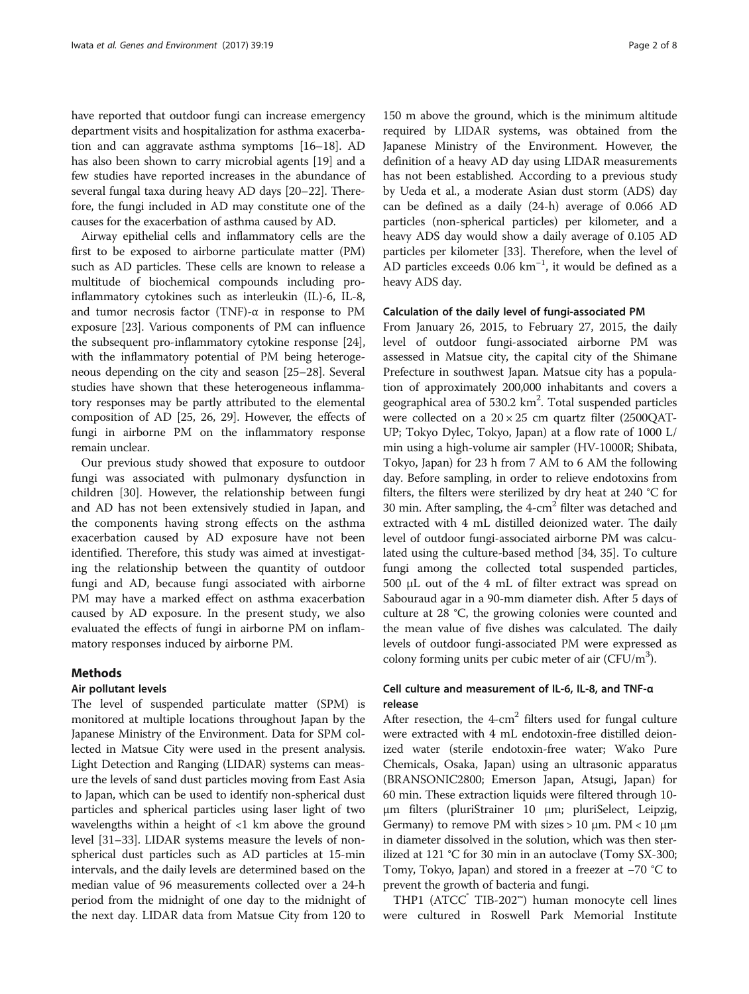have reported that outdoor fungi can increase emergency department visits and hospitalization for asthma exacerbation and can aggravate asthma symptoms [\[16](#page-6-0)–[18](#page-6-0)]. AD has also been shown to carry microbial agents [[19\]](#page-6-0) and a few studies have reported increases in the abundance of several fungal taxa during heavy AD days [[20](#page-6-0)–[22\]](#page-6-0). Therefore, the fungi included in AD may constitute one of the causes for the exacerbation of asthma caused by AD.

Airway epithelial cells and inflammatory cells are the first to be exposed to airborne particulate matter (PM) such as AD particles. These cells are known to release a multitude of biochemical compounds including proinflammatory cytokines such as interleukin (IL)-6, IL-8, and tumor necrosis factor (TNF)- $\alpha$  in response to PM exposure [[23](#page-6-0)]. Various components of PM can influence the subsequent pro-inflammatory cytokine response [[24](#page-6-0)], with the inflammatory potential of PM being heterogeneous depending on the city and season [\[25](#page-6-0)–[28](#page-6-0)]. Several studies have shown that these heterogeneous inflammatory responses may be partly attributed to the elemental composition of AD [[25](#page-6-0), [26](#page-6-0), [29](#page-6-0)]. However, the effects of fungi in airborne PM on the inflammatory response remain unclear.

Our previous study showed that exposure to outdoor fungi was associated with pulmonary dysfunction in children [\[30\]](#page-6-0). However, the relationship between fungi and AD has not been extensively studied in Japan, and the components having strong effects on the asthma exacerbation caused by AD exposure have not been identified. Therefore, this study was aimed at investigating the relationship between the quantity of outdoor fungi and AD, because fungi associated with airborne PM may have a marked effect on asthma exacerbation caused by AD exposure. In the present study, we also evaluated the effects of fungi in airborne PM on inflammatory responses induced by airborne PM.

## Methods

## Air pollutant levels

The level of suspended particulate matter (SPM) is monitored at multiple locations throughout Japan by the Japanese Ministry of the Environment. Data for SPM collected in Matsue City were used in the present analysis. Light Detection and Ranging (LIDAR) systems can measure the levels of sand dust particles moving from East Asia to Japan, which can be used to identify non-spherical dust particles and spherical particles using laser light of two wavelengths within a height of  $<$ 1 km above the ground level [\[31](#page-6-0)–[33](#page-6-0)]. LIDAR systems measure the levels of nonspherical dust particles such as AD particles at 15-min intervals, and the daily levels are determined based on the median value of 96 measurements collected over a 24-h period from the midnight of one day to the midnight of the next day. LIDAR data from Matsue City from 120 to

150 m above the ground, which is the minimum altitude required by LIDAR systems, was obtained from the Japanese Ministry of the Environment. However, the definition of a heavy AD day using LIDAR measurements has not been established. According to a previous study by Ueda et al., a moderate Asian dust storm (ADS) day can be defined as a daily (24-h) average of 0.066 AD particles (non-spherical particles) per kilometer, and a heavy ADS day would show a daily average of 0.105 AD particles per kilometer [\[33](#page-6-0)]. Therefore, when the level of AD particles exceeds 0.06 km−<sup>1</sup> , it would be defined as a heavy ADS day.

#### Calculation of the daily level of fungi-associated PM

From January 26, 2015, to February 27, 2015, the daily level of outdoor fungi-associated airborne PM was assessed in Matsue city, the capital city of the Shimane Prefecture in southwest Japan. Matsue city has a population of approximately 200,000 inhabitants and covers a geographical area of 530.2 km<sup>2</sup>. Total suspended particles were collected on a  $20 \times 25$  cm quartz filter (2500QAT-UP; Tokyo Dylec, Tokyo, Japan) at a flow rate of 1000 L/ min using a high-volume air sampler (HV-1000R; Shibata, Tokyo, Japan) for 23 h from 7 AM to 6 AM the following day. Before sampling, in order to relieve endotoxins from filters, the filters were sterilized by dry heat at 240 °C for 30 min. After sampling, the  $4$ -cm<sup>2</sup> filter was detached and extracted with 4 mL distilled deionized water. The daily level of outdoor fungi-associated airborne PM was calculated using the culture-based method [[34](#page-6-0), [35](#page-6-0)]. To culture fungi among the collected total suspended particles, 500 μL out of the 4 mL of filter extract was spread on Sabouraud agar in a 90-mm diameter dish. After 5 days of culture at 28 °C, the growing colonies were counted and the mean value of five dishes was calculated. The daily levels of outdoor fungi-associated PM were expressed as colony forming units per cubic meter of air ( $CFU/m<sup>3</sup>$ ).

## Cell culture and measurement of IL-6, IL-8, and TNF-α release

After resection, the  $4$ -cm<sup>2</sup> filters used for fungal culture were extracted with 4 mL endotoxin-free distilled deionized water (sterile endotoxin-free water; Wako Pure Chemicals, Osaka, Japan) using an ultrasonic apparatus (BRANSONIC2800; Emerson Japan, Atsugi, Japan) for 60 min. These extraction liquids were filtered through 10 μm filters (pluriStrainer 10 μm; pluriSelect, Leipzig, Germany) to remove PM with sizes  $> 10 \mu$ m. PM  $< 10 \mu$ m in diameter dissolved in the solution, which was then sterilized at 121 °C for 30 min in an autoclave (Tomy SX-300; Tomy, Tokyo, Japan) and stored in a freezer at −70 °C to prevent the growth of bacteria and fungi.

THP1 (ATCC $\overline{ }$ TIB-202<sup>m</sup>) human monocyte cell lines were cultured in Roswell Park Memorial Institute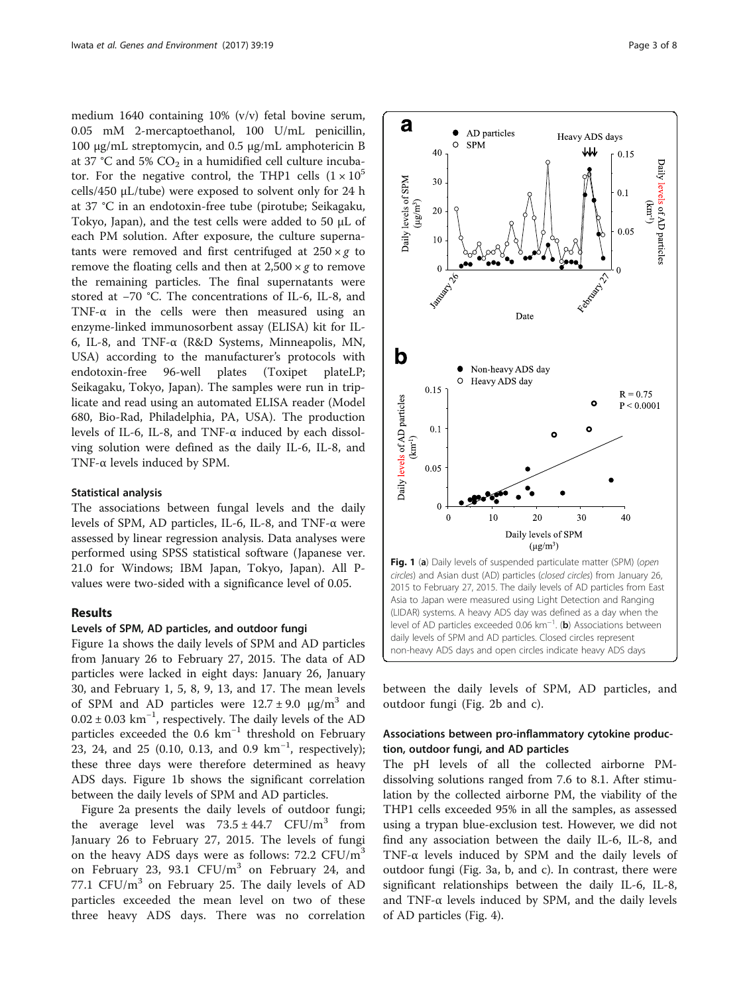medium 1640 containing 10% (v/v) fetal bovine serum, 0.05 mM 2-mercaptoethanol, 100 U/mL penicillin, 100 μg/mL streptomycin, and 0.5 μg/mL amphotericin B at 37 °C and 5%  $CO<sub>2</sub>$  in a humidified cell culture incubator. For the negative control, the THP1 cells  $(1 \times 10^5$ cells/450 μL/tube) were exposed to solvent only for 24 h at 37 °C in an endotoxin-free tube (pirotube; Seikagaku, Tokyo, Japan), and the test cells were added to 50 μL of each PM solution. After exposure, the culture supernatants were removed and first centrifuged at  $250 \times g$  to remove the floating cells and then at  $2,500 \times g$  to remove the remaining particles. The final supernatants were stored at −70 °C. The concentrations of IL-6, IL-8, and TNF- $\alpha$  in the cells were then measured using an enzyme-linked immunosorbent assay (ELISA) kit for IL-6, IL-8, and TNF-α (R&D Systems, Minneapolis, MN, USA) according to the manufacturer's protocols with endotoxin-free 96-well plates (Toxipet plateLP; Seikagaku, Tokyo, Japan). The samples were run in triplicate and read using an automated ELISA reader (Model 680, Bio-Rad, Philadelphia, PA, USA). The production levels of IL-6, IL-8, and TNF-α induced by each dissolving solution were defined as the daily IL-6, IL-8, and TNF-α levels induced by SPM.

#### Statistical analysis

The associations between fungal levels and the daily levels of SPM, AD particles, IL-6, IL-8, and TNF-α were assessed by linear regression analysis. Data analyses were performed using SPSS statistical software (Japanese ver. 21.0 for Windows; IBM Japan, Tokyo, Japan). All Pvalues were two-sided with a significance level of 0.05.

#### Results

#### Levels of SPM, AD particles, and outdoor fungi

Figure 1a shows the daily levels of SPM and AD particles from January 26 to February 27, 2015. The data of AD particles were lacked in eight days: January 26, January 30, and February 1, 5, 8, 9, 13, and 17. The mean levels of SPM and AD particles were  $12.7 \pm 9.0$   $\mu$ g/m<sup>3</sup> and  $0.02 \pm 0.03$  km<sup>-1</sup>, respectively. The daily levels of the AD particles exceeded the 0.6  $km^{-1}$  threshold on February 23, 24, and 25 (0.10, 0.13, and 0.9  $km^{-1}$ , respectively); these three days were therefore determined as heavy ADS days. Figure 1b shows the significant correlation between the daily levels of SPM and AD particles.

Figure [2a](#page-3-0) presents the daily levels of outdoor fungi; the average level was  $73.5 \pm 44.7$  CFU/m<sup>3</sup> from January 26 to February 27, 2015. The levels of fungi on the heavy ADS days were as follows: 72.2 CFU/m<sup>3</sup> on February 23, 93.1  $CFU/m^3$  on February 24, and 77.1 CFU/m<sup>3</sup> on February 25. The daily levels of AD particles exceeded the mean level on two of these three heavy ADS days. There was no correlation



between the daily levels of SPM, AD particles, and outdoor fungi (Fig. [2b](#page-3-0) and [c](#page-3-0)).

non-heavy ADS days and open circles indicate heavy ADS days

## Associations between pro-inflammatory cytokine production, outdoor fungi, and AD particles

The pH levels of all the collected airborne PMdissolving solutions ranged from 7.6 to 8.1. After stimulation by the collected airborne PM, the viability of the THP1 cells exceeded 95% in all the samples, as assessed using a trypan blue-exclusion test. However, we did not find any association between the daily IL-6, IL-8, and TNF-α levels induced by SPM and the daily levels of outdoor fungi (Fig. [3a, b,](#page-3-0) and [c](#page-3-0)). In contrast, there were significant relationships between the daily IL-6, IL-8, and TNF- $\alpha$  levels induced by SPM, and the daily levels of AD particles (Fig. [4](#page-4-0)).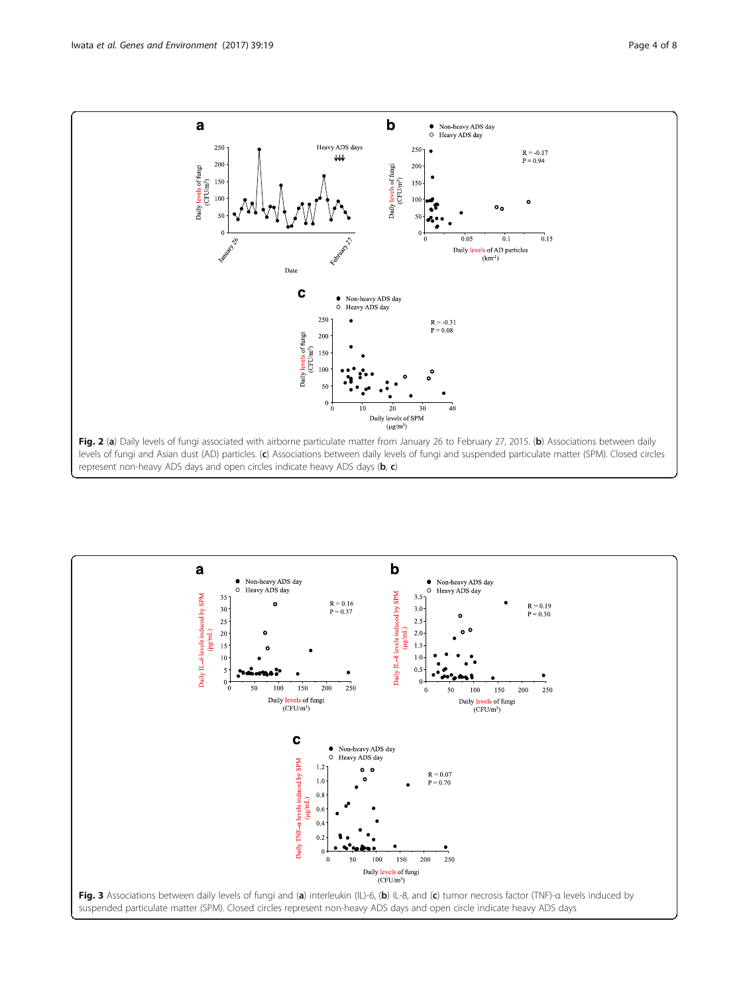<span id="page-3-0"></span>

represent non-heavy ADS days and open circles indicate heavy ADS days (b, c)

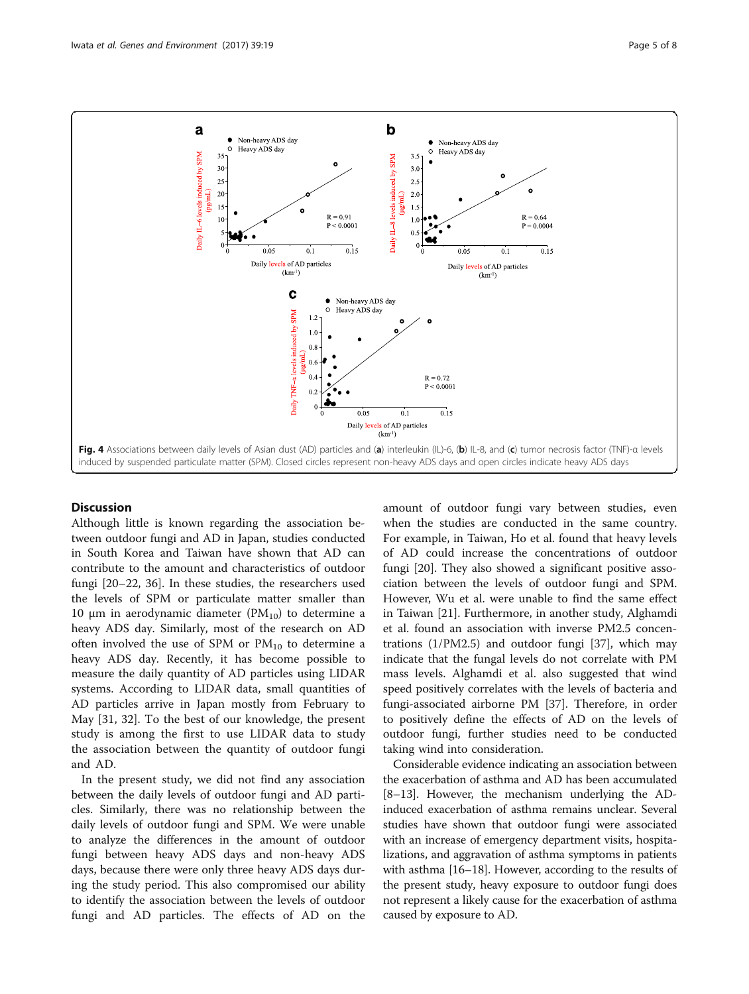<span id="page-4-0"></span>

## **Discussion**

Although little is known regarding the association between outdoor fungi and AD in Japan, studies conducted in South Korea and Taiwan have shown that AD can contribute to the amount and characteristics of outdoor fungi [\[20](#page-6-0)–[22,](#page-6-0) [36\]](#page-7-0). In these studies, the researchers used the levels of SPM or particulate matter smaller than 10 μm in aerodynamic diameter ( $PM<sub>10</sub>$ ) to determine a heavy ADS day. Similarly, most of the research on AD often involved the use of SPM or  $PM_{10}$  to determine a heavy ADS day. Recently, it has become possible to measure the daily quantity of AD particles using LIDAR systems. According to LIDAR data, small quantities of AD particles arrive in Japan mostly from February to May [\[31](#page-6-0), [32](#page-6-0)]. To the best of our knowledge, the present study is among the first to use LIDAR data to study the association between the quantity of outdoor fungi and AD.

In the present study, we did not find any association between the daily levels of outdoor fungi and AD particles. Similarly, there was no relationship between the daily levels of outdoor fungi and SPM. We were unable to analyze the differences in the amount of outdoor fungi between heavy ADS days and non-heavy ADS days, because there were only three heavy ADS days during the study period. This also compromised our ability to identify the association between the levels of outdoor fungi and AD particles. The effects of AD on the amount of outdoor fungi vary between studies, even when the studies are conducted in the same country. For example, in Taiwan, Ho et al. found that heavy levels of AD could increase the concentrations of outdoor fungi [\[20](#page-6-0)]. They also showed a significant positive association between the levels of outdoor fungi and SPM. However, Wu et al. were unable to find the same effect in Taiwan [\[21\]](#page-6-0). Furthermore, in another study, Alghamdi et al. found an association with inverse PM2.5 concentrations (1/PM2.5) and outdoor fungi [[37](#page-7-0)], which may indicate that the fungal levels do not correlate with PM mass levels. Alghamdi et al. also suggested that wind speed positively correlates with the levels of bacteria and fungi-associated airborne PM [[37\]](#page-7-0). Therefore, in order to positively define the effects of AD on the levels of outdoor fungi, further studies need to be conducted taking wind into consideration.

Considerable evidence indicating an association between the exacerbation of asthma and AD has been accumulated [[8](#page-6-0)–[13](#page-6-0)]. However, the mechanism underlying the ADinduced exacerbation of asthma remains unclear. Several studies have shown that outdoor fungi were associated with an increase of emergency department visits, hospitalizations, and aggravation of asthma symptoms in patients with asthma [[16](#page-6-0)–[18\]](#page-6-0). However, according to the results of the present study, heavy exposure to outdoor fungi does not represent a likely cause for the exacerbation of asthma caused by exposure to AD.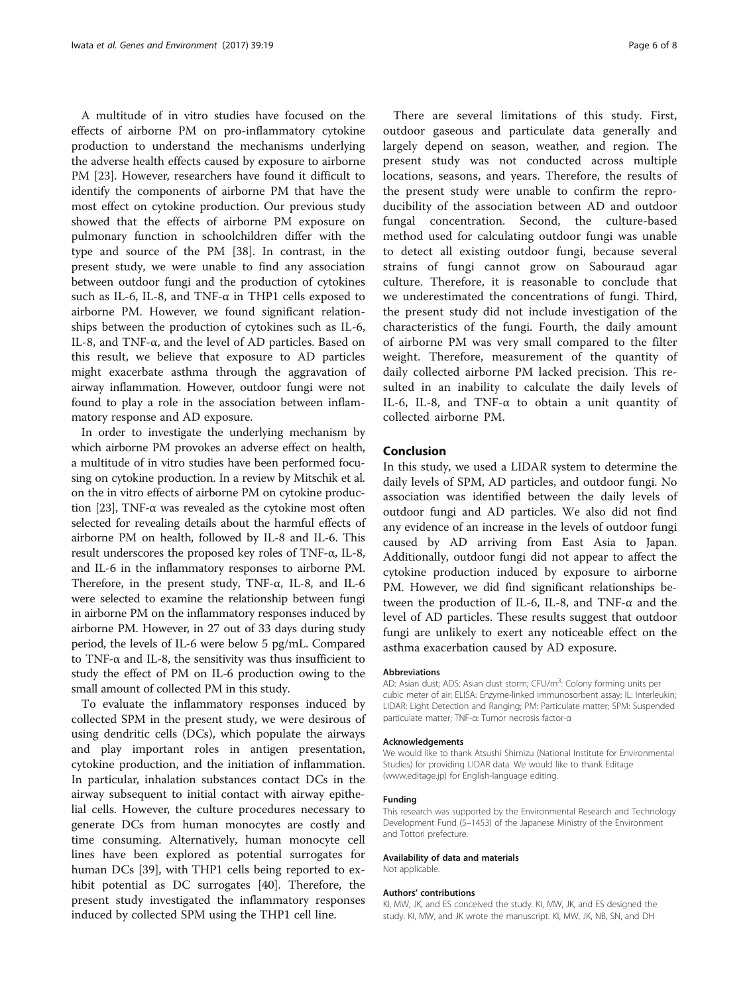A multitude of in vitro studies have focused on the effects of airborne PM on pro-inflammatory cytokine production to understand the mechanisms underlying the adverse health effects caused by exposure to airborne PM [[23\]](#page-6-0). However, researchers have found it difficult to identify the components of airborne PM that have the most effect on cytokine production. Our previous study showed that the effects of airborne PM exposure on pulmonary function in schoolchildren differ with the type and source of the PM [[38\]](#page-7-0). In contrast, in the present study, we were unable to find any association between outdoor fungi and the production of cytokines such as IL-6, IL-8, and TNF- $\alpha$  in THP1 cells exposed to airborne PM. However, we found significant relationships between the production of cytokines such as IL-6, IL-8, and TNF-α, and the level of AD particles. Based on this result, we believe that exposure to AD particles might exacerbate asthma through the aggravation of airway inflammation. However, outdoor fungi were not found to play a role in the association between inflammatory response and AD exposure.

In order to investigate the underlying mechanism by which airborne PM provokes an adverse effect on health, a multitude of in vitro studies have been performed focusing on cytokine production. In a review by Mitschik et al. on the in vitro effects of airborne PM on cytokine production [\[23\]](#page-6-0), TNF-α was revealed as the cytokine most often selected for revealing details about the harmful effects of airborne PM on health, followed by IL-8 and IL-6. This result underscores the proposed key roles of TNF-α, IL-8, and IL-6 in the inflammatory responses to airborne PM. Therefore, in the present study, TNF-α, IL-8, and IL-6 were selected to examine the relationship between fungi in airborne PM on the inflammatory responses induced by airborne PM. However, in 27 out of 33 days during study period, the levels of IL-6 were below 5 pg/mL. Compared to TNF-α and IL-8, the sensitivity was thus insufficient to study the effect of PM on IL-6 production owing to the small amount of collected PM in this study.

To evaluate the inflammatory responses induced by collected SPM in the present study, we were desirous of using dendritic cells (DCs), which populate the airways and play important roles in antigen presentation, cytokine production, and the initiation of inflammation. In particular, inhalation substances contact DCs in the airway subsequent to initial contact with airway epithelial cells. However, the culture procedures necessary to generate DCs from human monocytes are costly and time consuming. Alternatively, human monocyte cell lines have been explored as potential surrogates for human DCs [\[39](#page-7-0)], with THP1 cells being reported to exhibit potential as DC surrogates [\[40](#page-7-0)]. Therefore, the present study investigated the inflammatory responses induced by collected SPM using the THP1 cell line.

There are several limitations of this study. First, outdoor gaseous and particulate data generally and largely depend on season, weather, and region. The present study was not conducted across multiple locations, seasons, and years. Therefore, the results of the present study were unable to confirm the reproducibility of the association between AD and outdoor fungal concentration. Second, the culture-based method used for calculating outdoor fungi was unable to detect all existing outdoor fungi, because several strains of fungi cannot grow on Sabouraud agar culture. Therefore, it is reasonable to conclude that we underestimated the concentrations of fungi. Third, the present study did not include investigation of the characteristics of the fungi. Fourth, the daily amount of airborne PM was very small compared to the filter weight. Therefore, measurement of the quantity of daily collected airborne PM lacked precision. This resulted in an inability to calculate the daily levels of IL-6, IL-8, and TNF-α to obtain a unit quantity of collected airborne PM.

#### Conclusion

In this study, we used a LIDAR system to determine the daily levels of SPM, AD particles, and outdoor fungi. No association was identified between the daily levels of outdoor fungi and AD particles. We also did not find any evidence of an increase in the levels of outdoor fungi caused by AD arriving from East Asia to Japan. Additionally, outdoor fungi did not appear to affect the cytokine production induced by exposure to airborne PM. However, we did find significant relationships between the production of IL-6, IL-8, and TNF-α and the level of AD particles. These results suggest that outdoor fungi are unlikely to exert any noticeable effect on the asthma exacerbation caused by AD exposure.

#### Abbreviations

AD: Asian dust; ADS: Asian dust storm; CFU/m<sup>3</sup>: Colony forming units per cubic meter of air; ELISA: Enzyme-linked immunosorbent assay; IL: Interleukin; LIDAR: Light Detection and Ranging; PM: Particulate matter; SPM: Suspended particulate matter; TNF-α: Tumor necrosis factor-α

#### Acknowledgements

We would like to thank Atsushi Shimizu (National Institute for Environmental Studies) for providing LIDAR data. We would like to thank Editage ([www.editage.jp\)](http://www.editage.jp) for English-language editing.

#### Funding

This research was supported by the Environmental Research and Technology Development Fund (5–1453) of the Japanese Ministry of the Environment and Tottori prefecture.

#### Availability of data and materials

Not applicable.

#### Authors' contributions

KI, MW, JK, and ES conceived the study. KI, MW, JK, and ES designed the study. KI, MW, and JK wrote the manuscript. KI, MW, JK, NB, SN, and DH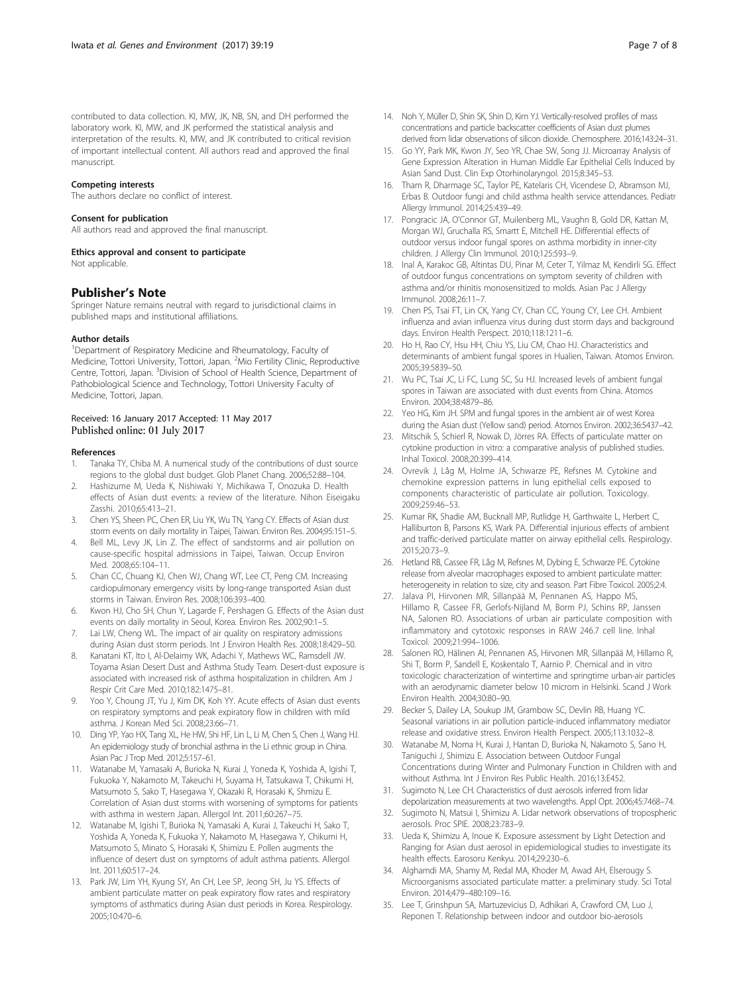<span id="page-6-0"></span>contributed to data collection. KI, MW, JK, NB, SN, and DH performed the laboratory work. KI, MW, and JK performed the statistical analysis and interpretation of the results. KI, MW, and JK contributed to critical revision of important intellectual content. All authors read and approved the final manuscript.

#### Competing interests

The authors declare no conflict of interest.

#### Consent for publication

All authors read and approved the final manuscript.

#### Ethics approval and consent to participate

Not applicable.

### Publisher's Note

Springer Nature remains neutral with regard to jurisdictional claims in published maps and institutional affiliations.

#### Author details

<sup>1</sup>Department of Respiratory Medicine and Rheumatology, Faculty of Medicine, Tottori University, Tottori, Japan. <sup>2</sup>Mio Fertility Clinic, Reproductive Centre, Tottori, Japan. <sup>3</sup>Division of School of Health Science, Department of Pathobiological Science and Technology, Tottori University Faculty of Medicine, Tottori, Japan.

#### Received: 16 January 2017 Accepted: 11 May 2017 Published online: 01 July 2017

#### References

- Tanaka TY, Chiba M. A numerical study of the contributions of dust source regions to the global dust budget. Glob Planet Chang. 2006;52:88–104.
- 2. Hashizume M, Ueda K, Nishiwaki Y, Michikawa T, Onozuka D. Health effects of Asian dust events: a review of the literature. Nihon Eiseigaku Zasshi. 2010;65:413–21.
- 3. Chen YS, Sheen PC, Chen ER, Liu YK, Wu TN, Yang CY. Effects of Asian dust storm events on daily mortality in Taipei, Taiwan. Environ Res. 2004;95:151–5.
- 4. Bell ML, Levy JK, Lin Z. The effect of sandstorms and air pollution on cause-specific hospital admissions in Taipei, Taiwan. Occup Environ Med. 2008;65:104–11.
- 5. Chan CC, Chuang KJ, Chen WJ, Chang WT, Lee CT, Peng CM. Increasing cardiopulmonary emergency visits by long-range transported Asian dust storms in Taiwan. Environ Res. 2008;106:393–400.
- 6. Kwon HJ, Cho SH, Chun Y, Lagarde F, Pershagen G. Effects of the Asian dust events on daily mortality in Seoul, Korea. Environ Res. 2002;90:1–5.
- 7. Lai LW, Cheng WL. The impact of air quality on respiratory admissions during Asian dust storm periods. Int J Environ Health Res. 2008;18:429–50.
- Kanatani KT, Ito I, Al-Delaimy WK, Adachi Y, Mathews WC, Ramsdell JW. Toyama Asian Desert Dust and Asthma Study Team. Desert-dust exposure is associated with increased risk of asthma hospitalization in children. Am J Respir Crit Care Med. 2010;182:1475–81.
- 9. Yoo Y, Choung JT, Yu J, Kim DK, Koh YY. Acute effects of Asian dust events on respiratory symptoms and peak expiratory flow in children with mild asthma. J Korean Med Sci. 2008;23:66–71.
- 10. Ding YP, Yao HX, Tang XL, He HW, Shi HF, Lin L, Li M, Chen S, Chen J, Wang HJ. An epidemiology study of bronchial asthma in the Li ethnic group in China. Asian Pac J Trop Med. 2012;5:157–61.
- 11. Watanabe M, Yamasaki A, Burioka N, Kurai J, Yoneda K, Yoshida A, Igishi T, Fukuoka Y, Nakamoto M, Takeuchi H, Suyama H, Tatsukawa T, Chikumi H, Matsumoto S, Sako T, Hasegawa Y, Okazaki R, Horasaki K, Shmizu E. Correlation of Asian dust storms with worsening of symptoms for patients with asthma in western Japan. Allergol Int. 2011;60:267–75.
- 12. Watanabe M, Igishi T, Burioka N, Yamasaki A, Kurai J, Takeuchi H, Sako T, Yoshida A, Yoneda K, Fukuoka Y, Nakamoto M, Hasegawa Y, Chikumi H, Matsumoto S, Minato S, Horasaki K, Shimizu E. Pollen augments the influence of desert dust on symptoms of adult asthma patients. Allergol Int. 2011;60:517–24.
- 13. Park JW, Lim YH, Kyung SY, An CH, Lee SP, Jeong SH, Ju YS. Effects of ambient particulate matter on peak expiratory flow rates and respiratory symptoms of asthmatics during Asian dust periods in Korea. Respirology. 2005;10:470–6.
- 14. Noh Y, Müller D, Shin SK, Shin D, Kim YJ. Vertically-resolved profiles of mass concentrations and particle backscatter coefficients of Asian dust plumes derived from lidar observations of silicon dioxide. Chemosphere. 2016;143:24–31.
- 15. Go YY, Park MK, Kwon JY, Seo YR, Chae SW, Song JJ. Microarray Analysis of Gene Expression Alteration in Human Middle Ear Epithelial Cells Induced by Asian Sand Dust. Clin Exp Otorhinolaryngol. 2015;8:345–53.
- 16. Tham R, Dharmage SC, Taylor PE, Katelaris CH, Vicendese D, Abramson MJ, Erbas B. Outdoor fungi and child asthma health service attendances. Pediatr Allergy Immunol. 2014;25:439–49.
- 17. Pongracic JA, O'Connor GT, Muilenberg ML, Vaughn B, Gold DR, Kattan M, Morgan WJ, Gruchalla RS, Smartt E, Mitchell HE. Differential effects of outdoor versus indoor fungal spores on asthma morbidity in inner-city children. J Allergy Clin Immunol. 2010;125:593–9.
- 18. Inal A, Karakoc GB, Altintas DU, Pinar M, Ceter T, Yilmaz M, Kendirli SG. Effect of outdoor fungus concentrations on symptom severity of children with asthma and/or rhinitis monosensitized to molds. Asian Pac J Allergy Immunol. 2008;26:11–7.
- 19. Chen PS, Tsai FT, Lin CK, Yang CY, Chan CC, Young CY, Lee CH. Ambient influenza and avian influenza virus during dust storm days and background days. Environ Health Perspect. 2010;118:1211–6.
- 20. Ho H, Rao CY, Hsu HH, Chiu YS, Liu CM, Chao HJ. Characteristics and determinants of ambient fungal spores in Hualien, Taiwan. Atomos Environ. 2005;39:5839–50.
- 21. Wu PC, Tsai JC, Li FC, Lung SC, Su HJ. Increased levels of ambient fungal spores in Taiwan are associated with dust events from China. Atomos Environ. 2004;38:4879–86.
- 22. Yeo HG, Kim JH. SPM and fungal spores in the ambient air of west Korea during the Asian dust (Yellow sand) period. Atomos Environ. 2002;36:5437–42.
- 23. Mitschik S, Schierl R, Nowak D, Jörres RA. Effects of particulate matter on cytokine production in vitro: a comparative analysis of published studies. Inhal Toxicol. 2008;20:399–414.
- 24. Ovrevik J, Låg M, Holme JA, Schwarze PE, Refsnes M. Cytokine and chemokine expression patterns in lung epithelial cells exposed to components characteristic of particulate air pollution. Toxicology. 2009;259:46–53.
- 25. Kumar RK, Shadie AM, Bucknall MP, Rutlidge H, Garthwaite L, Herbert C, Halliburton B, Parsons KS, Wark PA. Differential injurious effects of ambient and traffic-derived particulate matter on airway epithelial cells. Respirology. 2015;20:73–9.
- 26. Hetland RB, Cassee FR, Låg M, Refsnes M, Dybing E, Schwarze PE. Cytokine release from alveolar macrophages exposed to ambient particulate matter: heterogeneity in relation to size, city and season. Part Fibre Toxicol. 2005;2:4.
- 27. Jalava PI, Hirvonen MR, Sillanpää M, Pennanen AS, Happo MS, Hillamo R, Cassee FR, Gerlofs-Nijland M, Borm PJ, Schins RP, Janssen NA, Salonen RO. Associations of urban air particulate composition with inflammatory and cytotoxic responses in RAW 246.7 cell line. Inhal Toxicol. 2009;21:994–1006.
- 28. Salonen RO, Hälinen AI, Pennanen AS, Hirvonen MR, Sillanpää M, Hillamo R, Shi T, Borm P, Sandell E, Koskentalo T, Aarnio P. Chemical and in vitro toxicologic characterization of wintertime and springtime urban-air particles with an aerodynamic diameter below 10 microm in Helsinki. Scand J Work Environ Health. 2004;30:80–90.
- 29. Becker S, Dailey LA, Soukup JM, Grambow SC, Devlin RB, Huang YC. Seasonal variations in air pollution particle-induced inflammatory mediator release and oxidative stress. Environ Health Perspect. 2005;113:1032–8.
- 30. Watanabe M, Noma H, Kurai J, Hantan D, Burioka N, Nakamoto S, Sano H, Taniguchi J, Shimizu E. Association between Outdoor Fungal Concentrations during Winter and Pulmonary Function in Children with and without Asthma. Int J Environ Res Public Health. 2016;13:E452.
- 31. Sugimoto N, Lee CH. Characteristics of dust aerosols inferred from lidar depolarization measurements at two wavelengths. Appl Opt. 2006;45:7468–74.
- 32. Sugimoto N, Matsui I, Shimizu A. Lidar network observations of tropospheric aerosols. Proc SPIE. 2008;23:783–9.
- 33. Ueda K, Shimizu A, Inoue K. Exposure assessment by Light Detection and Ranging for Asian dust aerosol in epidemiological studies to investigate its health effects. Earosoru Kenkyu. 2014;29:230–6.
- 34. Alghamdi MA, Shamy M, Redal MA, Khoder M, Awad AH, Elserougy S. Microorganisms associated particulate matter: a preliminary study. Sci Total Environ. 2014;479–480:109–16.
- 35. Lee T, Grinshpun SA, Martuzevicius D, Adhikari A, Crawford CM, Luo J, Reponen T. Relationship between indoor and outdoor bio-aerosols